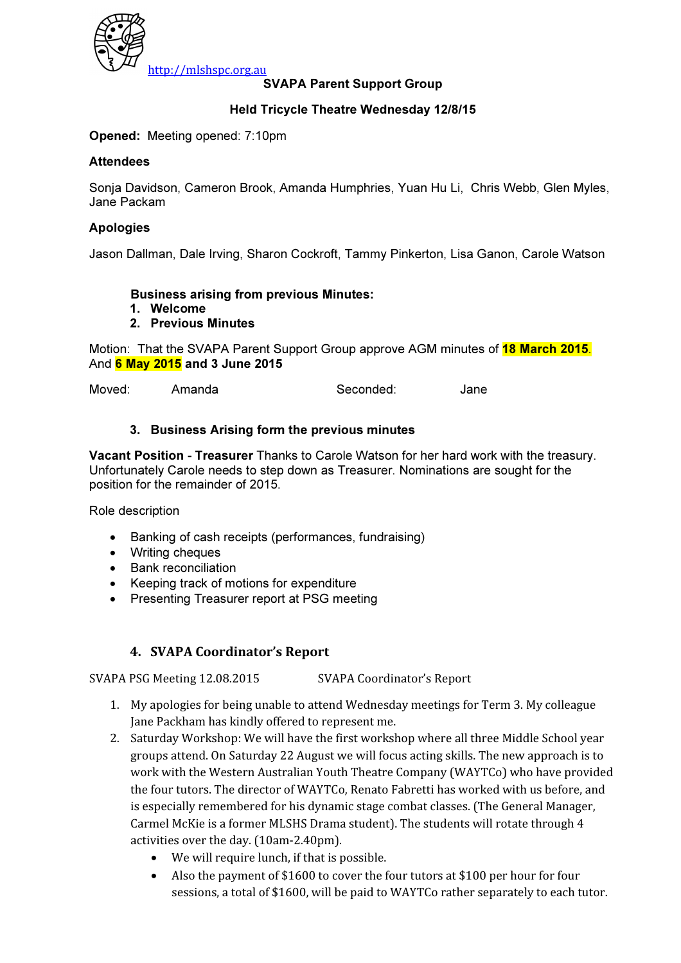

#### SVAPA Parent Support Group

#### Held Tricycle Theatre Wednesday 12/8/15

Opened: Meeting opened: 7:10pm

#### **Attendees**

Sonja Davidson, Cameron Brook, Amanda Humphries, Yuan Hu Li, Chris Webb, Glen Myles, Jane Packam

#### Apologies

Jason Dallman, Dale Irving, Sharon Cockroft, Tammy Pinkerton, Lisa Ganon, Carole Watson

#### Business arising from previous Minutes:

- 1. Welcome
- 2. Previous Minutes

Motion: That the SVAPA Parent Support Group approve AGM minutes of **18 March 2015.** And 6 May 2015 and 3 June 2015

Moved: Amanda Seconded: Jane

#### 3. Business Arising form the previous minutes

Vacant Position - Treasurer Thanks to Carole Watson for her hard work with the treasury. Unfortunately Carole needs to step down as Treasurer. Nominations are sought for the position for the remainder of 2015.

Role description

- Banking of cash receipts (performances, fundraising)
- Writing cheques
- Bank reconciliation
- Keeping track of motions for expenditure
- Presenting Treasurer report at PSG meeting

#### 4. SVAPA Coordinator's Report

SVAPA PSG Meeting 12.08.2015 SVAPA Coordinator's Report

- 1. My apologies for being unable to attend Wednesday meetings for Term 3. My colleague Jane Packham has kindly offered to represent me.
- 2. Saturday Workshop: We will have the first workshop where all three Middle School year groups attend. On Saturday 22 August we will focus acting skills. The new approach is to work with the Western Australian Youth Theatre Company (WAYTCo) who have provided the four tutors. The director of WAYTCo, Renato Fabretti has worked with us before, and is especially remembered for his dynamic stage combat classes. (The General Manager, Carmel McKie is a former MLSHS Drama student). The students will rotate through 4 activities over the day. (10am-2.40pm).
	- We will require lunch, if that is possible.
	- Also the payment of \$1600 to cover the four tutors at \$100 per hour for four sessions, a total of \$1600, will be paid to WAYTCo rather separately to each tutor.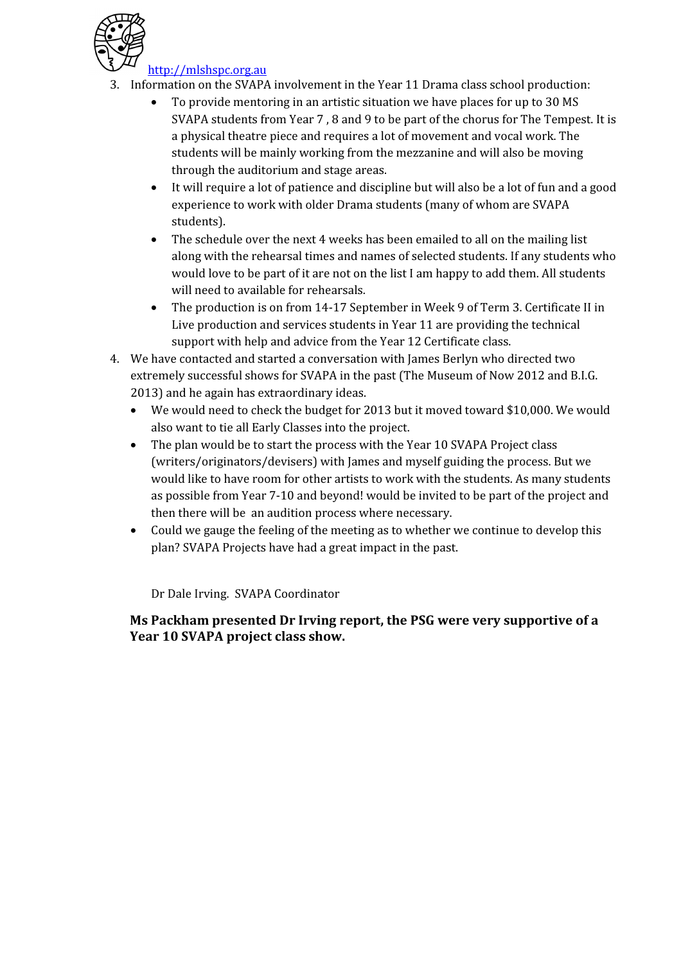

http://mlshspc.org.au

- 3. Information on the SVAPA involvement in the Year 11 Drama class school production:
	- To provide mentoring in an artistic situation we have places for up to 30 MS SVAPA students from Year 7 , 8 and 9 to be part of the chorus for The Tempest. It is a physical theatre piece and requires a lot of movement and vocal work. The students will be mainly working from the mezzanine and will also be moving through the auditorium and stage areas.
	- It will require a lot of patience and discipline but will also be a lot of fun and a good experience to work with older Drama students (many of whom are SVAPA students).
	- The schedule over the next 4 weeks has been emailed to all on the mailing list along with the rehearsal times and names of selected students. If any students who would love to be part of it are not on the list I am happy to add them. All students will need to available for rehearsals.
	- The production is on from 14-17 September in Week 9 of Term 3. Certificate II in Live production and services students in Year 11 are providing the technical support with help and advice from the Year 12 Certificate class.
- 4. We have contacted and started a conversation with James Berlyn who directed two extremely successful shows for SVAPA in the past (The Museum of Now 2012 and B.I.G. 2013) and he again has extraordinary ideas.
	- We would need to check the budget for 2013 but it moved toward \$10,000. We would also want to tie all Early Classes into the project.
	- The plan would be to start the process with the Year 10 SVAPA Project class (writers/originators/devisers) with James and myself guiding the process. But we would like to have room for other artists to work with the students. As many students as possible from Year 7-10 and beyond! would be invited to be part of the project and then there will be an audition process where necessary.
	- Could we gauge the feeling of the meeting as to whether we continue to develop this plan? SVAPA Projects have had a great impact in the past.

Dr Dale Irving. SVAPA Coordinator

Ms Packham presented Dr Irving report, the PSG were very supportive of a Year 10 SVAPA project class show.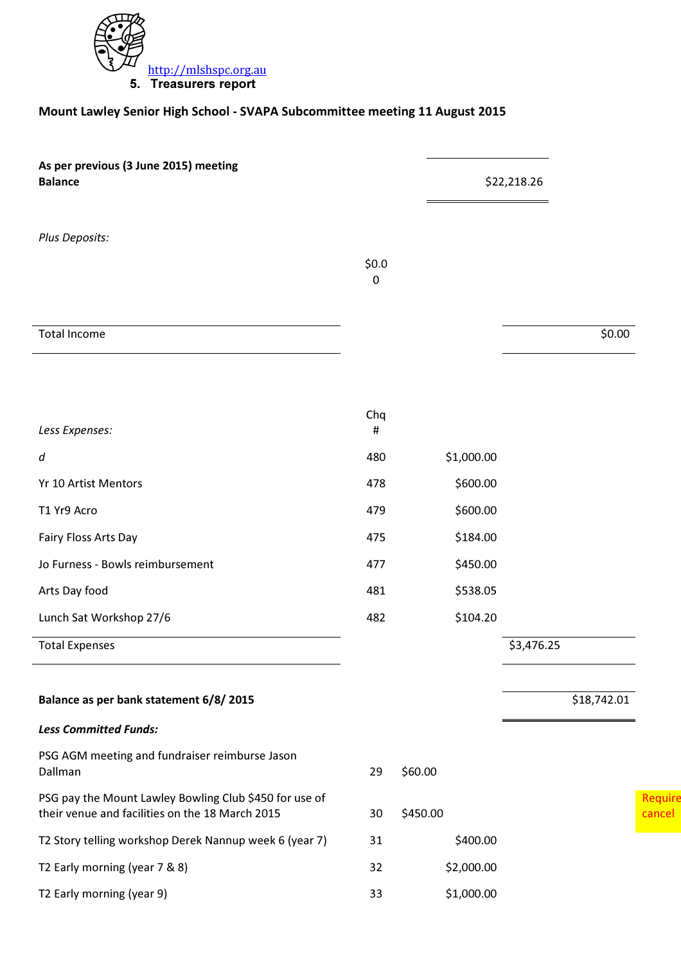

### Mount Lawley Senior High School - SVAPA Subcommittee meeting 11 August 2015

| As per previous (3 June 2015) meeting<br><b>Balance</b>                                                   |              | \$22,218.26 |            |             |
|-----------------------------------------------------------------------------------------------------------|--------------|-------------|------------|-------------|
| Plus Deposits:                                                                                            | \$0.0\$<br>0 |             |            |             |
| <b>Total Income</b>                                                                                       |              |             |            | \$0.00      |
| Less Expenses:                                                                                            | Chq<br>#     |             |            |             |
| d                                                                                                         | 480          | \$1,000.00  |            |             |
| Yr 10 Artist Mentors                                                                                      | 478          | \$600.00    |            |             |
| T1 Yr9 Acro                                                                                               | 479          | \$600.00    |            |             |
| Fairy Floss Arts Day                                                                                      | 475          | \$184.00    |            |             |
| Jo Furness - Bowls reimbursement                                                                          | 477          | \$450.00    |            |             |
| Arts Day food                                                                                             | 481          | \$538.05    |            |             |
| Lunch Sat Workshop 27/6                                                                                   | 482          | \$104.20    |            |             |
| <b>Total Expenses</b>                                                                                     |              |             | \$3,476.25 |             |
|                                                                                                           |              |             |            |             |
| Balance as per bank statement 6/8/2015                                                                    |              |             |            | \$18,742.01 |
| <b>Less Committed Funds:</b>                                                                              |              |             |            |             |
| PSG AGM meeting and fundraiser reimburse Jason<br>Dallman                                                 | 29           | \$60.00     |            |             |
| PSG pay the Mount Lawley Bowling Club \$450 for use of<br>their venue and facilities on the 18 March 2015 | 30           | \$450.00    |            |             |
| T2 Story telling workshop Derek Nannup week 6 (year 7)                                                    | 31           | \$400.00    |            |             |
| T2 Early morning (year 7 & 8)                                                                             | 32           | \$2,000.00  |            |             |
| T2 Early morning (year 9)                                                                                 | 33           | \$1,000.00  |            |             |

Require cancel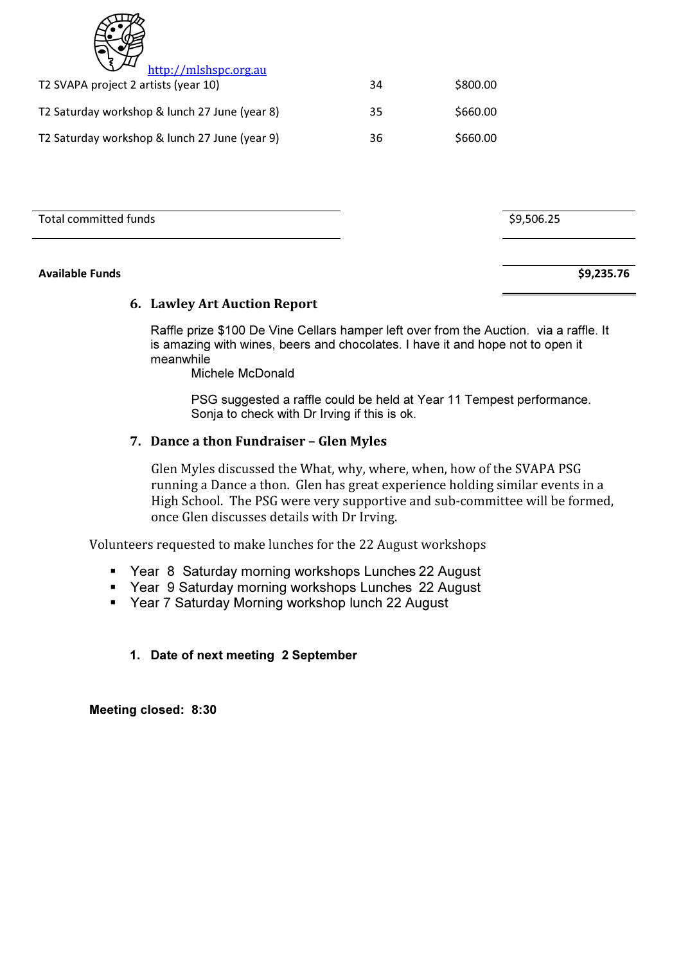| 7, |
|----|
|    |

| http://mlshspc.org.au                         |    |          |
|-----------------------------------------------|----|----------|
| T2 SVAPA project 2 artists (year 10)          | 34 | \$800.00 |
| T2 Saturday workshop & lunch 27 June (year 8) | 35 | \$660.00 |
| T2 Saturday workshop & lunch 27 June (year 9) | 36 | \$660.00 |

Total committed funds **\$9,506.25** 

#### Available Funds \$9,235.76

#### 6. Lawley Art Auction Report

Raffle prize \$100 De Vine Cellars hamper left over from the Auction. via a raffle. It is amazing with wines, beers and chocolates. I have it and hope not to open it meanwhile

Michele McDonald

PSG suggested a raffle could be held at Year 11 Tempest performance. Sonja to check with Dr Irving if this is ok.

#### 7. Dance a thon Fundraiser – Glen Myles

Glen Myles discussed the What, why, where, when, how of the SVAPA PSG running a Dance a thon. Glen has great experience holding similar events in a High School. The PSG were very supportive and sub-committee will be formed, once Glen discusses details with Dr Irving.

Volunteers requested to make lunches for the 22 August workshops

- Year 8 Saturday morning workshops Lunches 22 August
- Year 9 Saturday morning workshops Lunches 22 August
- Year 7 Saturday Morning workshop lunch 22 August

#### 1. Date of next meeting 2 September

Meeting closed: 8:30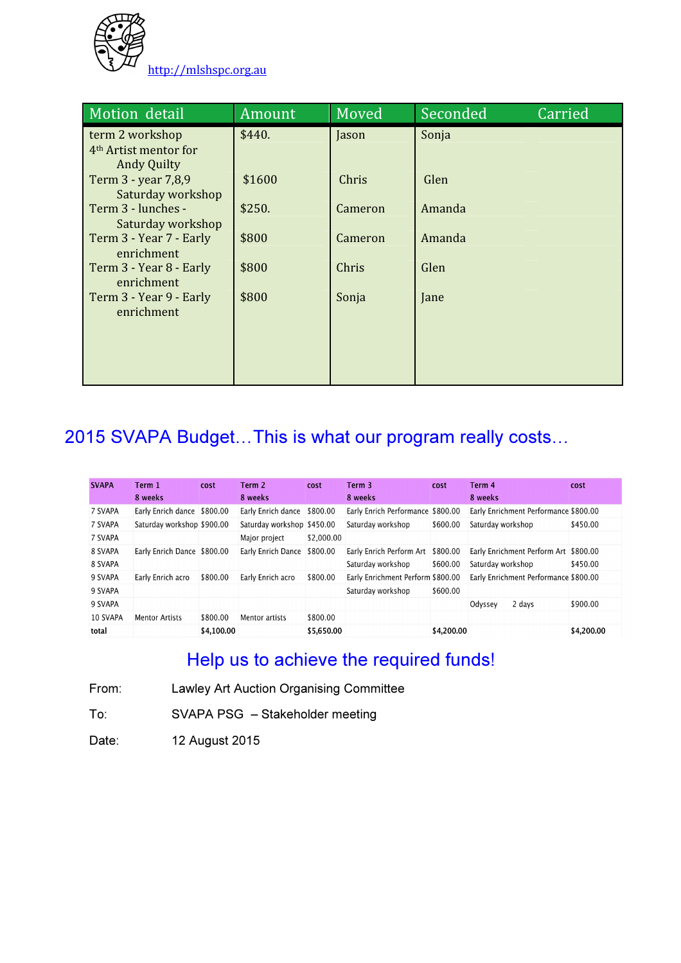

| Motion detail                                                              | Amount | Moved   | <b>Seconded</b> | Carried |
|----------------------------------------------------------------------------|--------|---------|-----------------|---------|
| term 2 workshop<br>4 <sup>th</sup> Artist mentor for<br><b>Andy Quilty</b> | \$440. | Jason   | Sonja           |         |
| Term 3 - year 7,8,9<br>Saturday workshop                                   | \$1600 | Chris   | Glen            |         |
| Term 3 - lunches -<br>Saturday workshop                                    | \$250. | Cameron | Amanda          |         |
| Term 3 - Year 7 - Early<br>enrichment                                      | \$800  | Cameron | Amanda          |         |
| Term 3 - Year 8 - Early<br>enrichment                                      | \$800  | Chris   | Glen            |         |
| Term 3 - Year 9 - Early<br>enrichment                                      | \$800  | Sonja   | Jane            |         |
|                                                                            |        |         |                 |         |
|                                                                            |        |         |                 |         |

# 2015 SVAPA Budget…This is what our program really costs…

| <b>SVAPA</b> | Term 1<br>8 weeks           | cost       | Term 2<br>8 weeks          | cost       | Term 3<br>8 weeks                 | cost       | Term 4<br>8 weeks                     | cost       |
|--------------|-----------------------------|------------|----------------------------|------------|-----------------------------------|------------|---------------------------------------|------------|
|              |                             |            |                            |            |                                   |            |                                       |            |
| 7 SVAPA      | Early Enrich dance \$800.00 |            | Early Enrich dance         | \$800.00   | Early Enrich Performance \$800.00 |            | Early Enrichment Performance \$800.00 |            |
| 7 SVAPA      | Saturday workshop \$900.00  |            | Saturday workshop \$450.00 |            | Saturday workshop                 | \$600.00   | Saturday workshop                     | \$450.00   |
| 7 SVAPA      |                             |            | Major project              | \$2,000.00 |                                   |            |                                       |            |
| 8 SVAPA      | Early Enrich Dance \$800.00 |            | Early Enrich Dance         | \$800.00   | Early Enrich Perform Art          | \$800.00   | Early Enrichment Perform Art \$800.00 |            |
| 8 SVAPA      |                             |            |                            |            | Saturday workshop                 | \$600.00   | Saturday workshop                     | \$450.00   |
| 9 SVAPA      | Early Enrich acro           | \$800.00   | Early Enrich acro          | \$800.00   | Early Enrichment Perform \$800.00 |            | Early Enrichment Performance \$800.00 |            |
| 9 SVAPA      |                             |            |                            |            | Saturday workshop                 | \$600.00   |                                       |            |
| 9 SVAPA      |                             |            |                            |            |                                   |            | 2 days<br>Odyssey                     | \$900.00   |
| 10 SVAPA     | <b>Mentor Artists</b>       | \$800.00   | Mentor artists             | \$800.00   |                                   |            |                                       |            |
| total        |                             | \$4,100.00 |                            | \$5,650.00 |                                   | \$4,200.00 |                                       | \$4,200.00 |

## Help us to achieve the required funds!

From: Lawley Art Auction Organising Committee

To: SVAPA PSG – Stakeholder meeting

Date: 12 August 2015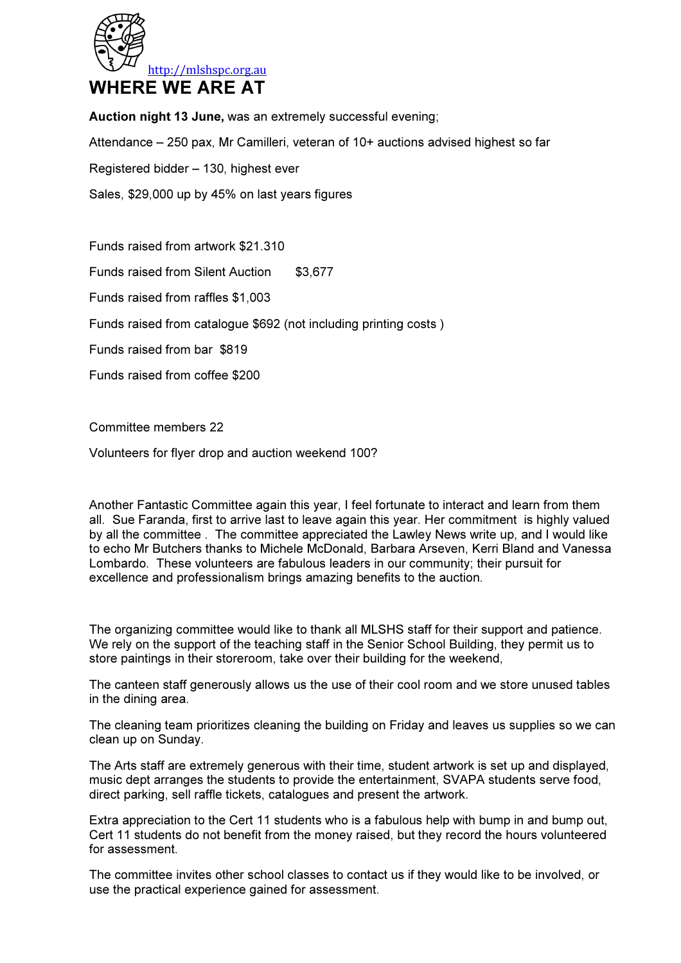

Auction night 13 June, was an extremely successful evening;

Attendance – 250 pax, Mr Camilleri, veteran of 10+ auctions advised highest so far

Registered bidder – 130, highest ever

Sales, \$29,000 up by 45% on last years figures

Funds raised from artwork \$21.310

Funds raised from Silent Auction \$3,677

Funds raised from raffles \$1,003

Funds raised from catalogue \$692 (not including printing costs )

Funds raised from bar \$819

Funds raised from coffee \$200

Committee members 22

Volunteers for flyer drop and auction weekend 100?

Another Fantastic Committee again this year, I feel fortunate to interact and learn from them all. Sue Faranda, first to arrive last to leave again this year. Her commitment is highly valued by all the committee . The committee appreciated the Lawley News write up, and I would like to echo Mr Butchers thanks to Michele McDonald, Barbara Arseven, Kerri Bland and Vanessa Lombardo. These volunteers are fabulous leaders in our community; their pursuit for excellence and professionalism brings amazing benefits to the auction.

The organizing committee would like to thank all MLSHS staff for their support and patience. We rely on the support of the teaching staff in the Senior School Building, they permit us to store paintings in their storeroom, take over their building for the weekend,

The canteen staff generously allows us the use of their cool room and we store unused tables in the dining area.

The cleaning team prioritizes cleaning the building on Friday and leaves us supplies so we can clean up on Sunday.

The Arts staff are extremely generous with their time, student artwork is set up and displayed, music dept arranges the students to provide the entertainment, SVAPA students serve food, direct parking, sell raffle tickets, catalogues and present the artwork.

Extra appreciation to the Cert 11 students who is a fabulous help with bump in and bump out, Cert 11 students do not benefit from the money raised, but they record the hours volunteered for assessment.

The committee invites other school classes to contact us if they would like to be involved, or use the practical experience gained for assessment.